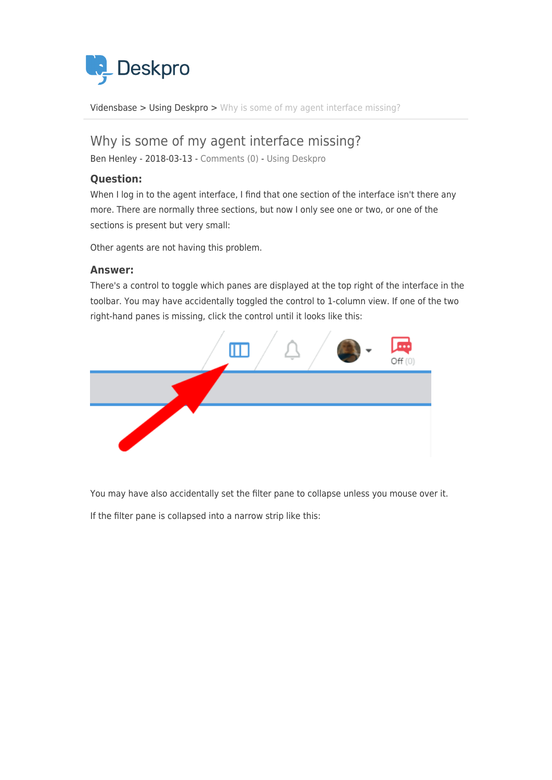

[Vidensbase](https://support.deskpro.com/da/kb) > [Using Deskpro](https://support.deskpro.com/da/kb/using-deskpro) > [Why is some of my agent interface missing?](https://support.deskpro.com/da/kb/articles/why-is-some-of-my-agent-interface-missing)

## Why is some of my agent interface missing?

Ben Henley - 2018-03-13 - [Comments \(0\)](#page--1-0) - [Using Deskpro](https://support.deskpro.com/da/kb/using-deskpro)

## **Question:**

When I log in to the agent interface, I find that one section of the interface isn't there any more. There are normally three sections, but now I only see one or two, or one of the sections is present but very small:

Other agents are not having this problem.

## **Answer:**

There's a control to toggle which panes are displayed at the top right of the interface in the toolbar. You may have accidentally toggled the control to 1-column view. If one of the two right-hand panes is missing, click the control until it looks like this:



You may have also accidentally set the filter pane to collapse unless you mouse over it.

If the filter pane is collapsed into a narrow strip like this: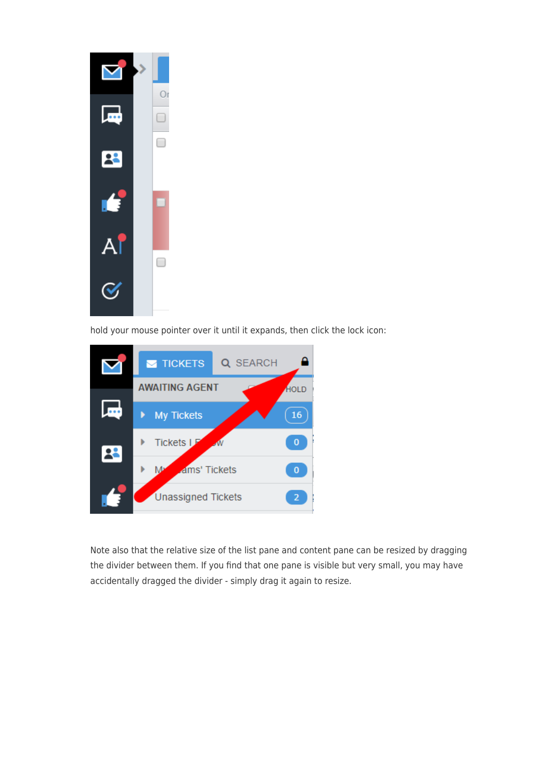

hold your mouse pointer over it until it expands, then click the lock icon:



Note also that the relative size of the list pane and content pane can be resized by dragging the divider between them. If you find that one pane is visible but very small, you may have accidentally dragged the divider - simply drag it again to resize.